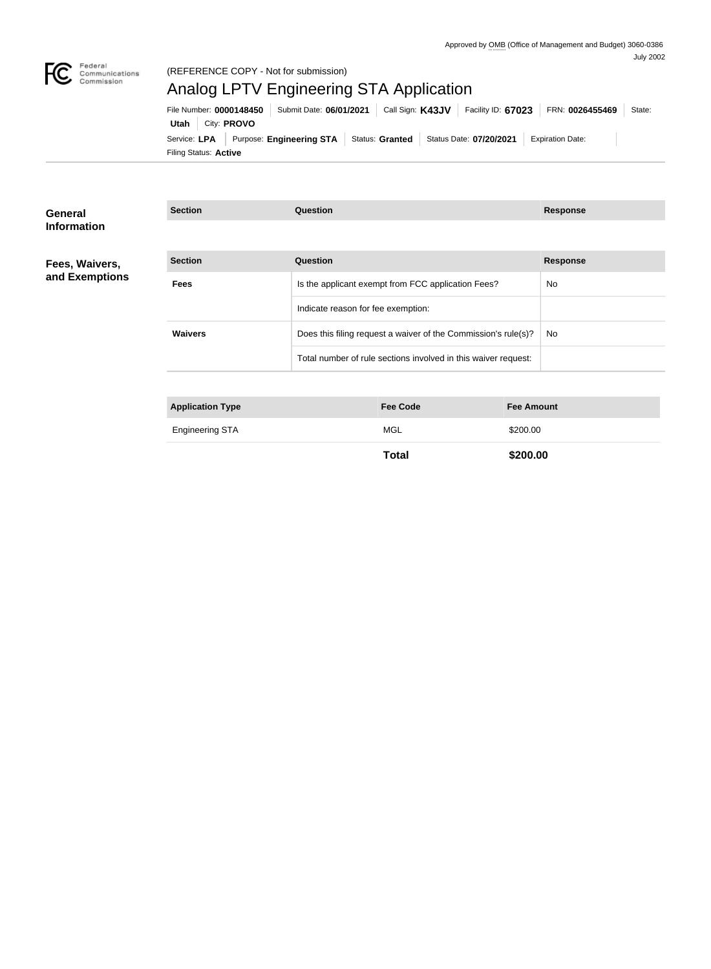

#### (REFERENCE COPY - Not for submission)

# Analog LPTV Engineering STA Application

Filing Status: **Active** Service: LPA Purpose: Engineering STA Status: Granted Status Date: 07/20/2021 Expiration Date: **Utah** City: **PROVO** File Number: **0000148450** Submit Date: **06/01/2021** Call Sign: **K43JV** Facility ID: **67023** FRN: **0026455469** State:

| General<br><b>Information</b> | <b>Section</b>          | Question                                                       | <b>Response</b> |
|-------------------------------|-------------------------|----------------------------------------------------------------|-----------------|
|                               |                         |                                                                |                 |
| Fees, Waivers,                | <b>Section</b>          | Question                                                       | <b>Response</b> |
| and Exemptions                | <b>Fees</b>             | Is the applicant exempt from FCC application Fees?             | No              |
|                               |                         | Indicate reason for fee exemption:                             |                 |
|                               | <b>Waivers</b>          | Does this filing request a waiver of the Commission's rule(s)? | No              |
|                               |                         | Total number of rule sections involved in this waiver request: |                 |
|                               |                         |                                                                |                 |
|                               | <b>Application Type</b> | <b>Fee Amount</b><br><b>Fee Code</b>                           |                 |
|                               |                         |                                                                |                 |

| <b>Engineering STA</b><br>. | $M \rightarrow$ | <u> የ200 00</u> |
|-----------------------------|-----------------|-----------------|
|                             |                 |                 |

**Total \$200.00**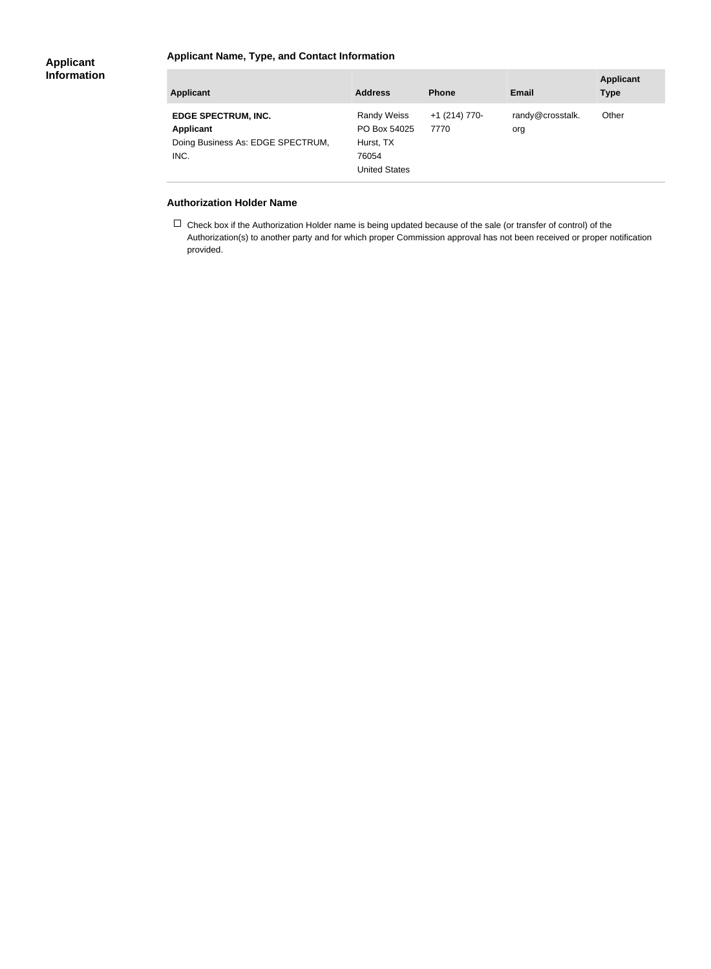#### **Applicant Name, Type, and Contact Information**

| <b>Applicant</b>                                                                            | <b>Address</b>                                                                   | <b>Phone</b>            | <b>Email</b>            | <b>Applicant</b><br><b>Type</b> |
|---------------------------------------------------------------------------------------------|----------------------------------------------------------------------------------|-------------------------|-------------------------|---------------------------------|
| <b>EDGE SPECTRUM, INC.</b><br><b>Applicant</b><br>Doing Business As: EDGE SPECTRUM,<br>INC. | <b>Randy Weiss</b><br>PO Box 54025<br>Hurst, TX<br>76054<br><b>United States</b> | $+1$ (214) 770-<br>7770 | randy@crosstalk.<br>org | Other                           |

#### **Authorization Holder Name**

 $\Box$  Check box if the Authorization Holder name is being updated because of the sale (or transfer of control) of the Authorization(s) to another party and for which proper Commission approval has not been received or proper notification provided.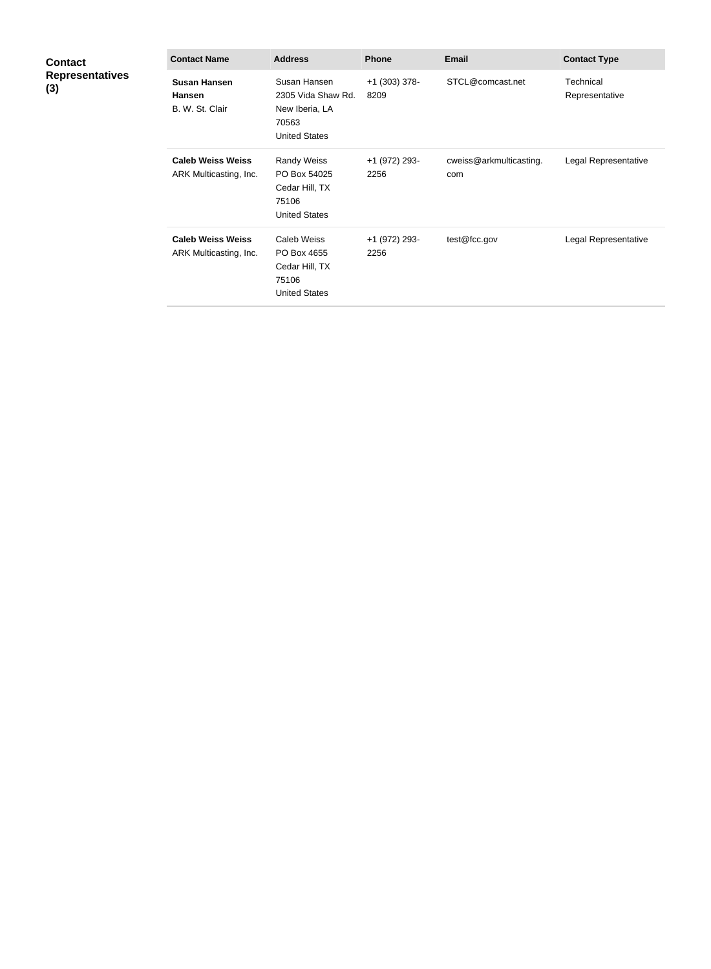| <b>Contact</b><br><b>Representatives</b><br>(3) | <b>Contact Name</b>                                     | <b>Address</b>                                                                        | <b>Phone</b>          | <b>Email</b>                   | <b>Contact Type</b>         |
|-------------------------------------------------|---------------------------------------------------------|---------------------------------------------------------------------------------------|-----------------------|--------------------------------|-----------------------------|
|                                                 | <b>Susan Hansen</b><br><b>Hansen</b><br>B. W. St. Clair | Susan Hansen<br>2305 Vida Shaw Rd.<br>New Iberia, LA<br>70563<br><b>United States</b> | +1 (303) 378-<br>8209 | STCL@comcast.net               | Technical<br>Representative |
|                                                 | <b>Caleb Weiss Weiss</b><br>ARK Multicasting, Inc.      | <b>Randy Weiss</b><br>PO Box 54025<br>Cedar Hill, TX<br>75106<br><b>United States</b> | +1 (972) 293-<br>2256 | cweiss@arkmulticasting.<br>com | Legal Representative        |
|                                                 | <b>Caleb Weiss Weiss</b><br>ARK Multicasting, Inc.      | <b>Caleb Weiss</b><br>PO Box 4655<br>Cedar Hill, TX<br>75106<br><b>United States</b>  | +1 (972) 293-<br>2256 | test@fcc.gov                   | Legal Representative        |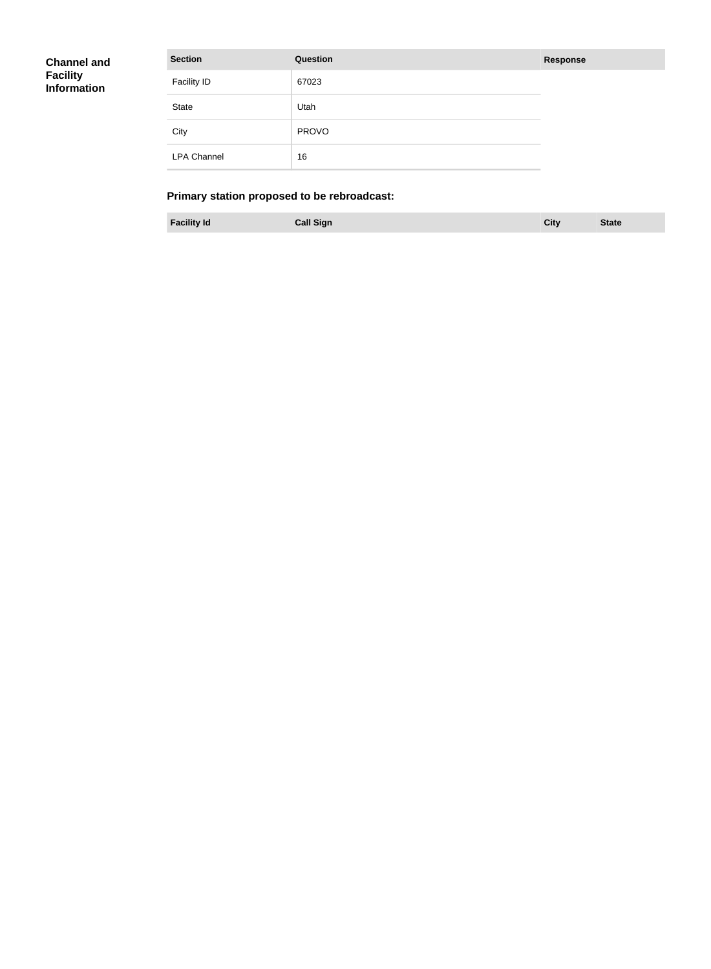| <b>Channel and</b><br><b>Facility</b><br>Information | <b>Section</b>     | Question     | <b>Response</b> |
|------------------------------------------------------|--------------------|--------------|-----------------|
|                                                      | <b>Facility ID</b> | 67023        |                 |
|                                                      | State              | Utah         |                 |
|                                                      | City               | <b>PROVO</b> |                 |
|                                                      | <b>LPA Channel</b> | 16           |                 |

## **Primary station proposed to be rebroadcast:**

**Facility Id Call Sign City State**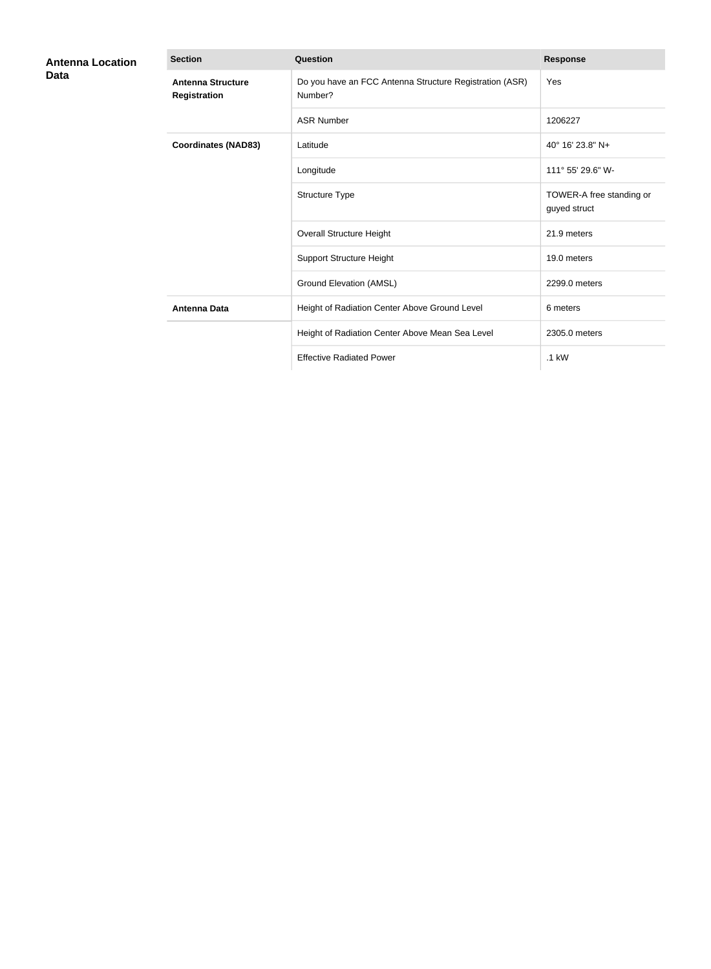| <b>Antenna Location</b><br>Data | <b>Section</b>                           | Question                                                           | <b>Response</b>                          |
|---------------------------------|------------------------------------------|--------------------------------------------------------------------|------------------------------------------|
|                                 | <b>Antenna Structure</b><br>Registration | Do you have an FCC Antenna Structure Registration (ASR)<br>Number? | Yes                                      |
|                                 |                                          | <b>ASR Number</b>                                                  | 1206227                                  |
|                                 | <b>Coordinates (NAD83)</b>               | Latitude                                                           | 40° 16' 23.8" N+                         |
|                                 |                                          | Longitude                                                          | 111° 55' 29.6" W-                        |
|                                 |                                          | Structure Type                                                     | TOWER-A free standing or<br>guyed struct |
|                                 |                                          | <b>Overall Structure Height</b>                                    | 21.9 meters                              |
|                                 |                                          | <b>Support Structure Height</b>                                    | 19.0 meters                              |
|                                 |                                          | <b>Ground Elevation (AMSL)</b>                                     | 2299.0 meters                            |
|                                 | <b>Antenna Data</b>                      | Height of Radiation Center Above Ground Level                      | 6 meters                                 |
|                                 |                                          | Height of Radiation Center Above Mean Sea Level                    | 2305.0 meters                            |
|                                 |                                          | <b>Effective Radiated Power</b>                                    | $.1$ kW                                  |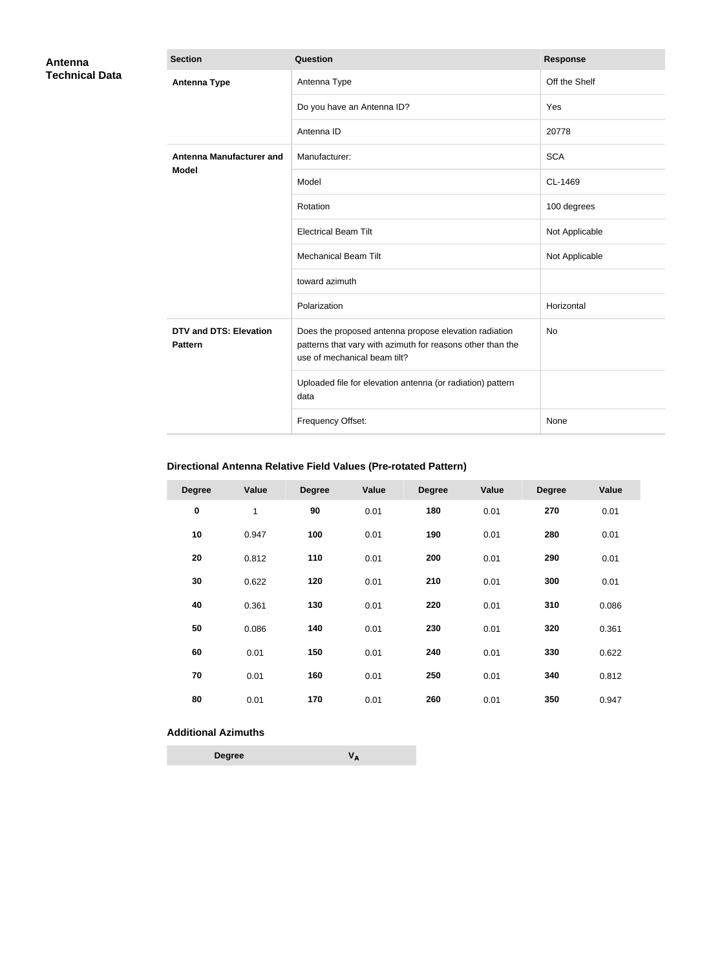| <b>Antenna</b><br><b>Technical Data</b> | <b>Section</b>                                  | Question                                                                                                                                            | <b>Response</b> |
|-----------------------------------------|-------------------------------------------------|-----------------------------------------------------------------------------------------------------------------------------------------------------|-----------------|
|                                         | <b>Antenna Type</b>                             | Antenna Type                                                                                                                                        | Off the Shelf   |
|                                         |                                                 | Do you have an Antenna ID?                                                                                                                          | Yes             |
|                                         |                                                 | Antenna ID                                                                                                                                          | 20778           |
|                                         | <b>Antenna Manufacturer and</b>                 | Manufacturer:                                                                                                                                       | <b>SCA</b>      |
|                                         | <b>Model</b>                                    | Model                                                                                                                                               | CL-1469         |
|                                         |                                                 | Rotation                                                                                                                                            | 100 degrees     |
|                                         |                                                 | <b>Electrical Beam Tilt</b>                                                                                                                         | Not Applicable  |
|                                         |                                                 | <b>Mechanical Beam Tilt</b>                                                                                                                         | Not Applicable  |
|                                         |                                                 | toward azimuth                                                                                                                                      |                 |
|                                         |                                                 | Polarization                                                                                                                                        | Horizontal      |
|                                         | <b>DTV and DTS: Elevation</b><br><b>Pattern</b> | Does the proposed antenna propose elevation radiation<br>patterns that vary with azimuth for reasons other than the<br>use of mechanical beam tilt? | <b>No</b>       |
|                                         |                                                 | Uploaded file for elevation antenna (or radiation) pattern<br>data                                                                                  |                 |
|                                         |                                                 | Frequency Offset:                                                                                                                                   | None            |

### **Directional Antenna Relative Field Values (Pre-rotated Pattern)**

| <b>Degree</b> | Value | <b>Degree</b> | Value | <b>Degree</b> | Value | <b>Degree</b> | Value |
|---------------|-------|---------------|-------|---------------|-------|---------------|-------|
| $\pmb{0}$     | 1     | 90            | 0.01  | 180           | 0.01  | 270           | 0.01  |
| 10            | 0.947 | 100           | 0.01  | 190           | 0.01  | 280           | 0.01  |
| 20            | 0.812 | 110           | 0.01  | 200           | 0.01  | 290           | 0.01  |
| 30            | 0.622 | 120           | 0.01  | 210           | 0.01  | 300           | 0.01  |
| 40            | 0.361 | 130           | 0.01  | 220           | 0.01  | 310           | 0.086 |
| 50            | 0.086 | 140           | 0.01  | 230           | 0.01  | 320           | 0.361 |
| 60            | 0.01  | 150           | 0.01  | 240           | 0.01  | 330           | 0.622 |
| 70            | 0.01  | 160           | 0.01  | 250           | 0.01  | 340           | 0.812 |
| 80            | 0.01  | 170           | 0.01  | 260           | 0.01  | 350           | 0.947 |

#### **Additional Azimuths**

| <b>Degree</b> | V <sub>A</sub> |
|---------------|----------------|
|---------------|----------------|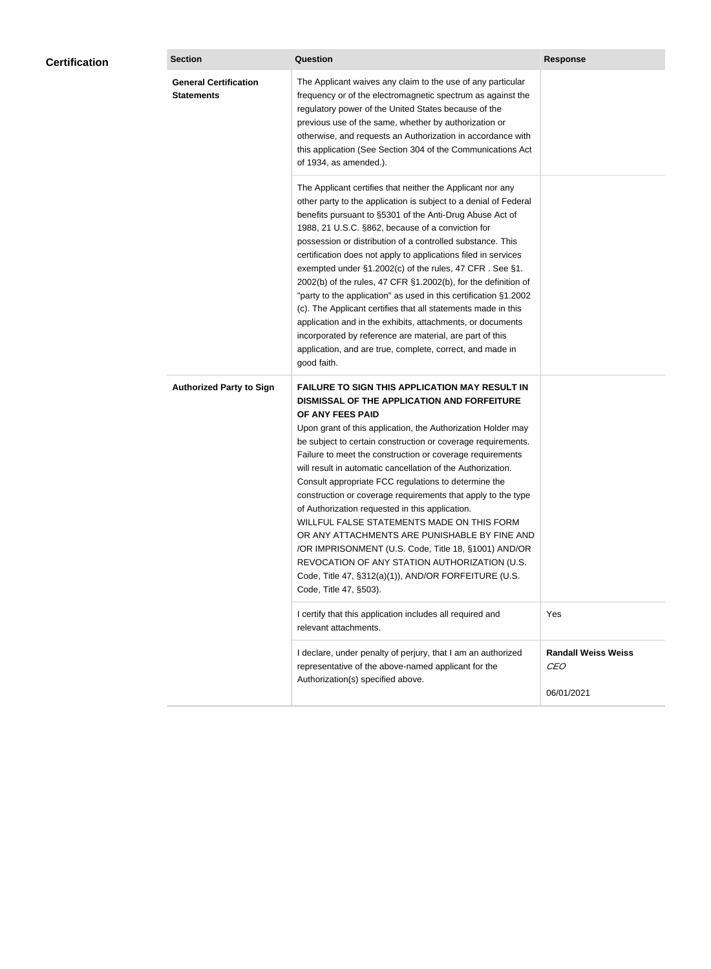| <b>Certification</b> | <b>Section</b>                                    | <b>Question</b>                                                                                                                                                                                                                                                                                                                                                                                                                                                                                                                                                                                                                                                                                                                                                                                                                                           | <b>Response</b>                                        |
|----------------------|---------------------------------------------------|-----------------------------------------------------------------------------------------------------------------------------------------------------------------------------------------------------------------------------------------------------------------------------------------------------------------------------------------------------------------------------------------------------------------------------------------------------------------------------------------------------------------------------------------------------------------------------------------------------------------------------------------------------------------------------------------------------------------------------------------------------------------------------------------------------------------------------------------------------------|--------------------------------------------------------|
|                      | <b>General Certification</b><br><b>Statements</b> | The Applicant waives any claim to the use of any particular<br>frequency or of the electromagnetic spectrum as against the<br>regulatory power of the United States because of the<br>previous use of the same, whether by authorization or<br>otherwise, and requests an Authorization in accordance with<br>this application (See Section 304 of the Communications Act<br>of 1934, as amended.).                                                                                                                                                                                                                                                                                                                                                                                                                                                       |                                                        |
|                      |                                                   | The Applicant certifies that neither the Applicant nor any<br>other party to the application is subject to a denial of Federal<br>benefits pursuant to §5301 of the Anti-Drug Abuse Act of<br>1988, 21 U.S.C. §862, because of a conviction for<br>possession or distribution of a controlled substance. This<br>certification does not apply to applications filed in services<br>exempted under §1.2002(c) of the rules, 47 CFR. See §1.<br>2002(b) of the rules, 47 CFR §1.2002(b), for the definition of<br>"party to the application" as used in this certification §1.2002<br>(c). The Applicant certifies that all statements made in this<br>application and in the exhibits, attachments, or documents<br>incorporated by reference are material, are part of this<br>application, and are true, complete, correct, and made in<br>good faith.   |                                                        |
|                      | <b>Authorized Party to Sign</b>                   | <b>FAILURE TO SIGN THIS APPLICATION MAY RESULT IN</b><br>DISMISSAL OF THE APPLICATION AND FORFEITURE<br>OF ANY FEES PAID<br>Upon grant of this application, the Authorization Holder may<br>be subject to certain construction or coverage requirements.<br>Failure to meet the construction or coverage requirements<br>will result in automatic cancellation of the Authorization.<br>Consult appropriate FCC regulations to determine the<br>construction or coverage requirements that apply to the type<br>of Authorization requested in this application.<br>WILLFUL FALSE STATEMENTS MADE ON THIS FORM<br>OR ANY ATTACHMENTS ARE PUNISHABLE BY FINE AND<br>/OR IMPRISONMENT (U.S. Code, Title 18, §1001) AND/OR<br>REVOCATION OF ANY STATION AUTHORIZATION (U.S.<br>Code, Title 47, §312(a)(1)), AND/OR FORFEITURE (U.S.<br>Code, Title 47, §503). |                                                        |
|                      |                                                   | I certify that this application includes all required and<br>relevant attachments.                                                                                                                                                                                                                                                                                                                                                                                                                                                                                                                                                                                                                                                                                                                                                                        | Yes                                                    |
|                      |                                                   | I declare, under penalty of perjury, that I am an authorized<br>representative of the above-named applicant for the<br>Authorization(s) specified above.                                                                                                                                                                                                                                                                                                                                                                                                                                                                                                                                                                                                                                                                                                  | <b>Randall Weiss Weiss</b><br><b>CEO</b><br>06/01/2021 |